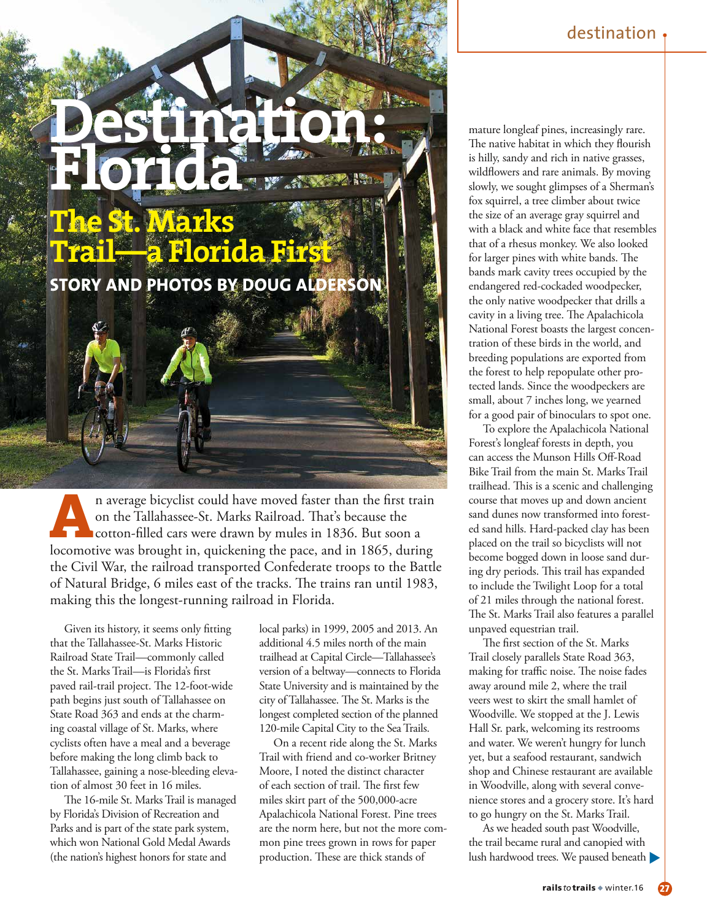## **Destination: Florida The St. Marks**

**STORY AND PHOTOS BY DOUG ALDERSON**

**Trail—a Florida First** 

**A**n average bicyclist could have moved faster than the first train on the Tallahassee-St. Marks Railroad. That's because the cotton-filled cars were drawn by mules in 1836. But soon a locomotive was brought in, quickening on the Tallahassee-St. Marks Railroad. That's because the **Cotton-filled cars were drawn by mules in 1836. But soon a** the Civil War, the railroad transported Confederate troops to the Battle of Natural Bridge, 6 miles east of the tracks. The trains ran until 1983, making this the longest-running railroad in Florida.

Given its history, it seems only fitting that the Tallahassee-St. Marks Historic Railroad State Trail—commonly called the St. Marks Trail—is Florida's first paved rail-trail project. The 12-foot-wide path begins just south of Tallahassee on State Road 363 and ends at the charming coastal village of St. Marks, where cyclists often have a meal and a beverage before making the long climb back to Tallahassee, gaining a nose-bleeding elevation of almost 30 feet in 16 miles.

The 16-mile St. Marks Trail is managed by Florida's Division of Recreation and Parks and is part of the state park system, which won National Gold Medal Awards

local parks) in 1999, 2005 and 2013. An additional 4.5 miles north of the main trailhead at Capital Circle—Tallahassee's version of a beltway—connects to Florida State University and is maintained by the city of Tallahassee. The St. Marks is the longest completed section of the planned 120-mile Capital City to the Sea Trails.

(the nation's highest honors for state and production. These are thick stands of lush hardwood trees. We paused beneath On a recent ride along the St. Marks Trail with friend and co-worker Britney Moore, I noted the distinct character of each section of trail. The first few miles skirt part of the 500,000-acre Apalachicola National Forest. Pine trees are the norm here, but not the more common pine trees grown in rows for paper production. These are thick stands of

mature longleaf pines, increasingly rare. The native habitat in which they flourish is hilly, sandy and rich in native grasses, wildflowers and rare animals. By moving slowly, we sought glimpses of a Sherman's fox squirrel, a tree climber about twice the size of an average gray squirrel and with a black and white face that resembles that of a rhesus monkey. We also looked for larger pines with white bands. The bands mark cavity trees occupied by the endangered red-cockaded woodpecker, the only native woodpecker that drills a cavity in a living tree. The Apalachicola National Forest boasts the largest concentration of these birds in the world, and breeding populations are exported from the forest to help repopulate other protected lands. Since the woodpeckers are small, about 7 inches long, we yearned for a good pair of binoculars to spot one.

To explore the Apalachicola National Forest's longleaf forests in depth, you can access the Munson Hills Off-Road Bike Trail from the main St. Marks Trail trailhead. This is a scenic and challenging course that moves up and down ancient sand dunes now transformed into forested sand hills. Hard-packed clay has been placed on the trail so bicyclists will not become bogged down in loose sand during dry periods. This trail has expanded to include the Twilight Loop for a total of 21 miles through the national forest. The St. Marks Trail also features a parallel unpaved equestrian trail.

The first section of the St. Marks Trail closely parallels State Road 363, making for traffic noise. The noise fades away around mile 2, where the trail veers west to skirt the small hamlet of Woodville. We stopped at the J. Lewis Hall Sr. park, welcoming its restrooms and water. We weren't hungry for lunch yet, but a seafood restaurant, sandwich shop and Chinese restaurant are available in Woodville, along with several convenience stores and a grocery store. It's hard to go hungry on the St. Marks Trail.

As we headed south past Woodville, the trail became rural and canopied with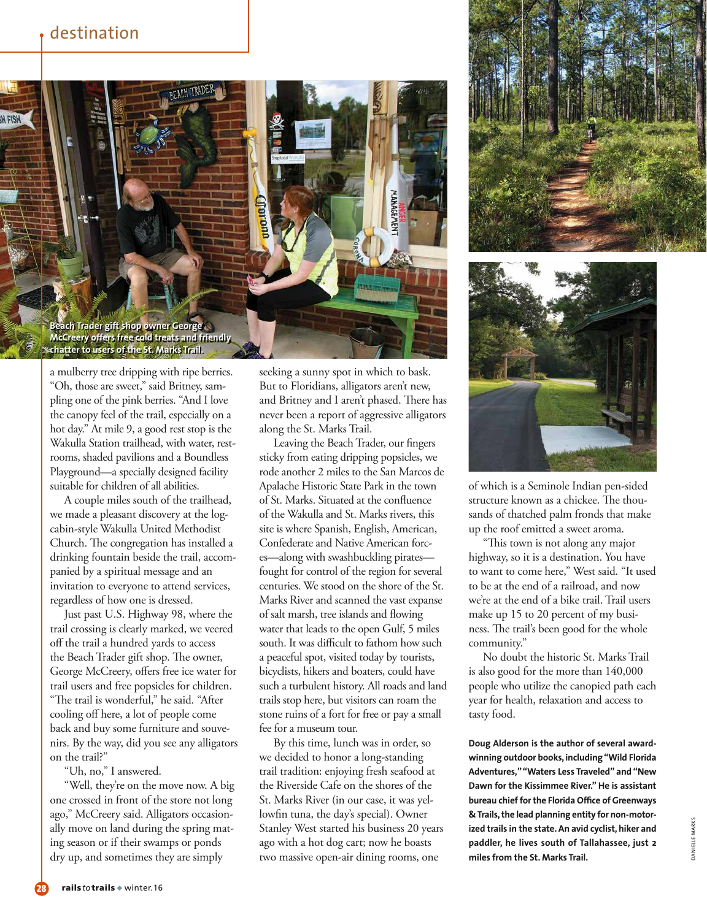

a mulberry tree dripping with ripe berries. "Oh, those are sweet," said Britney, sampling one of the pink berries. "And I love the canopy feel of the trail, especially on a hot day." At mile 9, a good rest stop is the Wakulla Station trailhead, with water, restrooms, shaded pavilions and a Boundless Playground—a specially designed facility suitable for children of all abilities.

A couple miles south of the trailhead, we made a pleasant discovery at the logcabin-style Wakulla United Methodist Church. The congregation has installed a drinking fountain beside the trail, accompanied by a spiritual message and an invitation to everyone to attend services, regardless of how one is dressed.

Just past U.S. Highway 98, where the trail crossing is clearly marked, we veered off the trail a hundred yards to access the Beach Trader gift shop. The owner, George McCreery, offers free ice water for trail users and free popsicles for children. "The trail is wonderful," he said. "After cooling off here, a lot of people come back and buy some furniture and souvenirs. By the way, did you see any alligators on the trail?"

"Uh, no," I answered.

"Well, they're on the move now. A big one crossed in front of the store not long ago," McCreery said. Alligators occasionally move on land during the spring mating season or if their swamps or ponds dry up, and sometimes they are simply

seeking a sunny spot in which to bask. But to Floridians, alligators aren't new, and Britney and I aren't phased. There has never been a report of aggressive alligators along the St. Marks Trail.

Leaving the Beach Trader, our fingers sticky from eating dripping popsicles, we rode another 2 miles to the San Marcos de Apalache Historic State Park in the town of St. Marks. Situated at the confluence of the Wakulla and St. Marks rivers, this site is where Spanish, English, American, Confederate and Native American forces—along with swashbuckling pirates fought for control of the region for several centuries. We stood on the shore of the St. Marks River and scanned the vast expanse of salt marsh, tree islands and flowing water that leads to the open Gulf, 5 miles south. It was difficult to fathom how such a peaceful spot, visited today by tourists, bicyclists, hikers and boaters, could have such a turbulent history. All roads and land trails stop here, but visitors can roam the stone ruins of a fort for free or pay a small fee for a museum tour.

By this time, lunch was in order, so we decided to honor a long-standing trail tradition: enjoying fresh seafood at the Riverside Cafe on the shores of the St. Marks River (in our case, it was yellowfin tuna, the day's special). Owner Stanley West started his business 20 years ago with a hot dog cart; now he boasts two massive open-air dining rooms, one





of which is a Seminole Indian pen-sided structure known as a chickee. The thousands of thatched palm fronds that make up the roof emitted a sweet aroma.

"This town is not along any major highway, so it is a destination. You have to want to come here," West said. "It used to be at the end of a railroad, and now we're at the end of a bike trail. Trail users make up 15 to 20 percent of my business. The trail's been good for the whole community."

No doubt the historic St. Marks Trail is also good for the more than 140,000 people who utilize the canopied path each year for health, relaxation and access to tasty food.

**Doug Alderson is the author of several awardwinning outdoor books, including "Wild Florida Adventures," "Waters Less Traveled" and "New Dawn for the Kissimmee River." He is assistant bureau chief for the Florida Office of Greenways & Trails, the lead planning entity for non-motorized trails in the state. An avid cyclist, hiker and paddler, he lives south of Tallahassee, just 2 miles from the St. Marks Trail.**